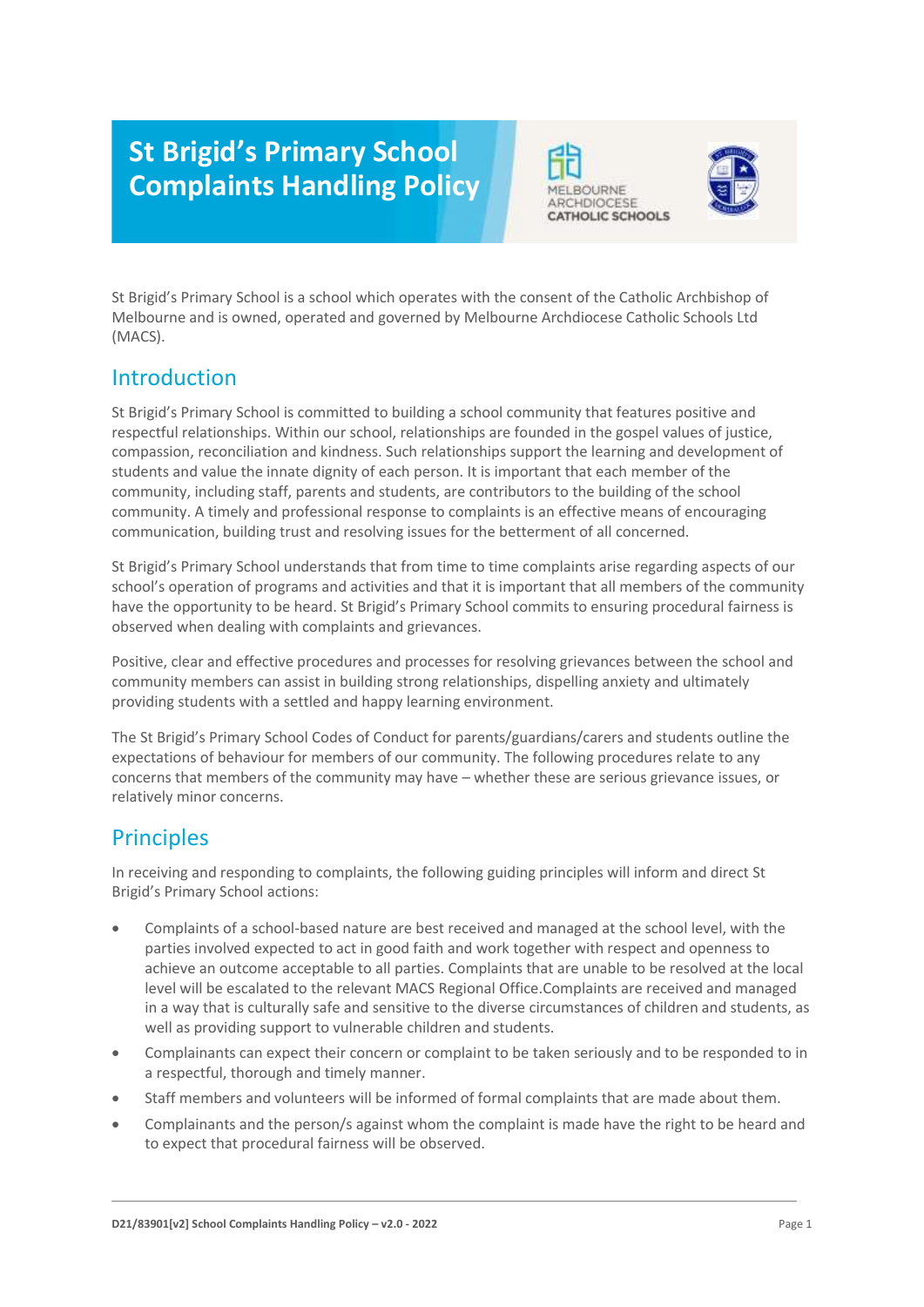# **St Brigid's Primary School Complaints Handling Policy**





St Brigid's Primary School is a school which operates with the consent of the Catholic Archbishop of Melbourne and is owned, operated and governed by Melbourne Archdiocese Catholic Schools Ltd (MACS).

### Introduction

St Brigid's Primary School is committed to building a school community that features positive and respectful relationships. Within our school, relationships are founded in the gospel values of justice, compassion, reconciliation and kindness. Such relationships support the learning and development of students and value the innate dignity of each person. It is important that each member of the community, including staff, parents and students, are contributors to the building of the school community. A timely and professional response to complaints is an effective means of encouraging communication, building trust and resolving issues for the betterment of all concerned.

St Brigid's Primary School understands that from time to time complaints arise regarding aspects of our school's operation of programs and activities and that it is important that all members of the community have the opportunity to be heard. St Brigid's Primary School commits to ensuring procedural fairness is observed when dealing with complaints and grievances.

Positive, clear and effective procedures and processes for resolving grievances between the school and community members can assist in building strong relationships, dispelling anxiety and ultimately providing students with a settled and happy learning environment.

The St Brigid's Primary School Codes of Conduct for parents/guardians/carers and students outline the expectations of behaviour for members of our community. The following procedures relate to any concerns that members of the community may have – whether these are serious grievance issues, or relatively minor concerns.

### **Principles**

In receiving and responding to complaints, the following guiding principles will inform and direct St Brigid's Primary School actions:

- Complaints of a school-based nature are best received and managed at the school level, with the parties involved expected to act in good faith and work together with respect and openness to achieve an outcome acceptable to all parties. Complaints that are unable to be resolved at the local level will be escalated to the relevant MACS Regional Office.Complaints are received and managed in a way that is culturally safe and sensitive to the diverse circumstances of children and students, as well as providing support to vulnerable children and students.
- Complainants can expect their concern or complaint to be taken seriously and to be responded to in a respectful, thorough and timely manner.
- Staff members and volunteers will be informed of formal complaints that are made about them.
- Complainants and the person/s against whom the complaint is made have the right to be heard and to expect that procedural fairness will be observed.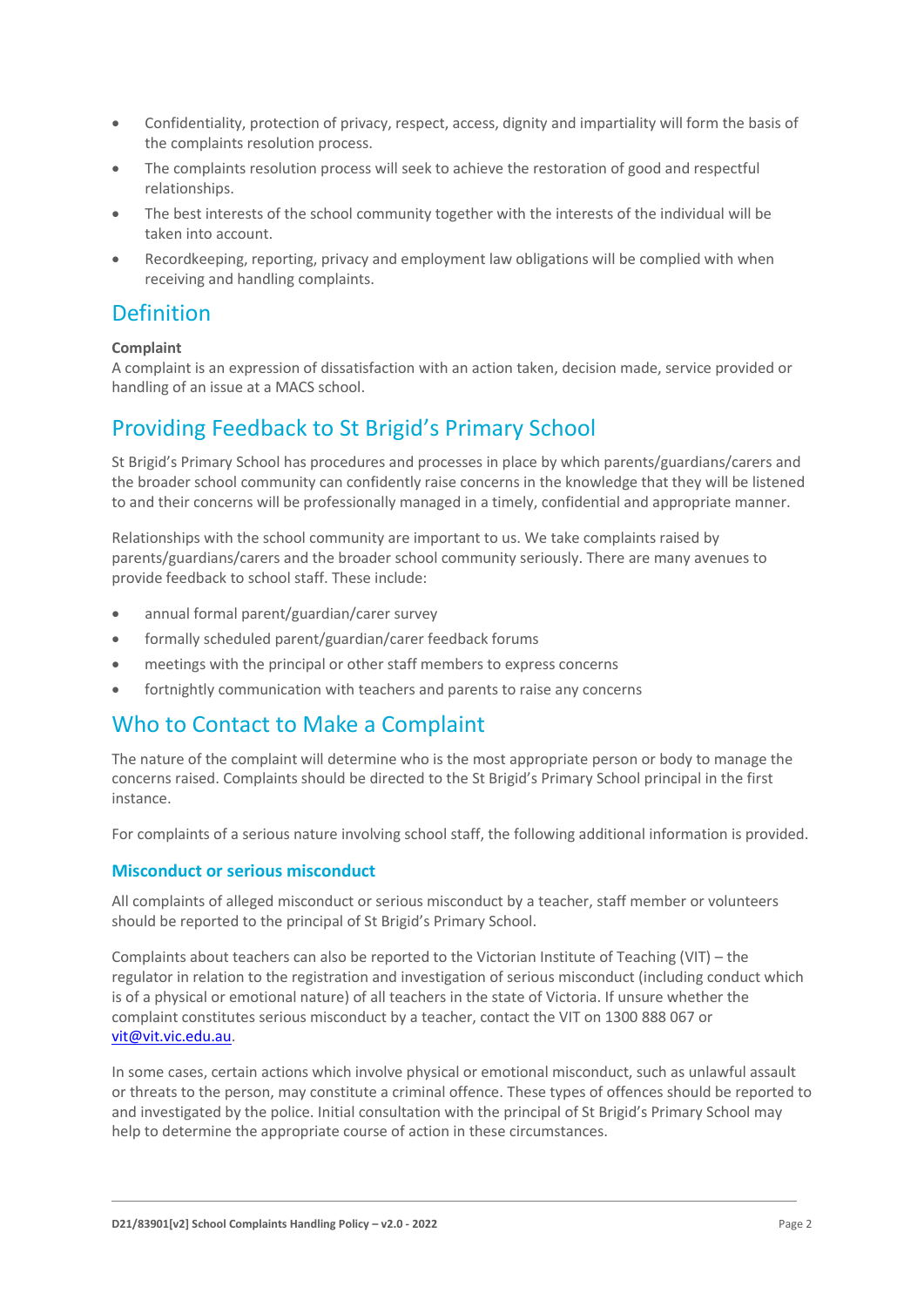- Confidentiality, protection of privacy, respect, access, dignity and impartiality will form the basis of the complaints resolution process.
- The complaints resolution process will seek to achieve the restoration of good and respectful relationships.
- The best interests of the school community together with the interests of the individual will be taken into account.
- Recordkeeping, reporting, privacy and employment law obligations will be complied with when receiving and handling complaints.

### **Definition**

#### **Complaint**

A complaint is an expression of dissatisfaction with an action taken, decision made, service provided or handling of an issue at a MACS school.

### Providing Feedback to St Brigid's Primary School

St Brigid's Primary School has procedures and processes in place by which parents/guardians/carers and the broader school community can confidently raise concerns in the knowledge that they will be listened to and their concerns will be professionally managed in a timely, confidential and appropriate manner.

Relationships with the school community are important to us. We take complaints raised by parents/guardians/carers and the broader school community seriously. There are many avenues to provide feedback to school staff. These include:

- annual formal parent/guardian/carer survey
- formally scheduled parent/guardian/carer feedback forums
- meetings with the principal or other staff members to express concerns
- fortnightly communication with teachers and parents to raise any concerns

### Who to Contact to Make a Complaint

The nature of the complaint will determine who is the most appropriate person or body to manage the concerns raised. Complaints should be directed to the St Brigid's Primary School principal in the first instance.

For complaints of a serious nature involving school staff, the following additional information is provided.

#### **Misconduct or serious misconduct**

All complaints of alleged misconduct or serious misconduct by a teacher, staff member or volunteers should be reported to the principal of St Brigid's Primary School.

Complaints about teachers can also be reported to the Victorian Institute of Teaching (VIT) – the regulator in relation to the registration and investigation of serious misconduct (including conduct which is of a physical or emotional nature) of all teachers in the state of Victoria. If unsure whether the complaint constitutes serious misconduct by a teacher, contact the VIT on 1300 888 067 or [vit@vit.vic.edu.au.](mailto:vit@vit.vic.edu.au)

In some cases, certain actions which involve physical or emotional misconduct, such as unlawful assault or threats to the person, may constitute a criminal offence. These types of offences should be reported to and investigated by the police. Initial consultation with the principal of St Brigid's Primary School may help to determine the appropriate course of action in these circumstances.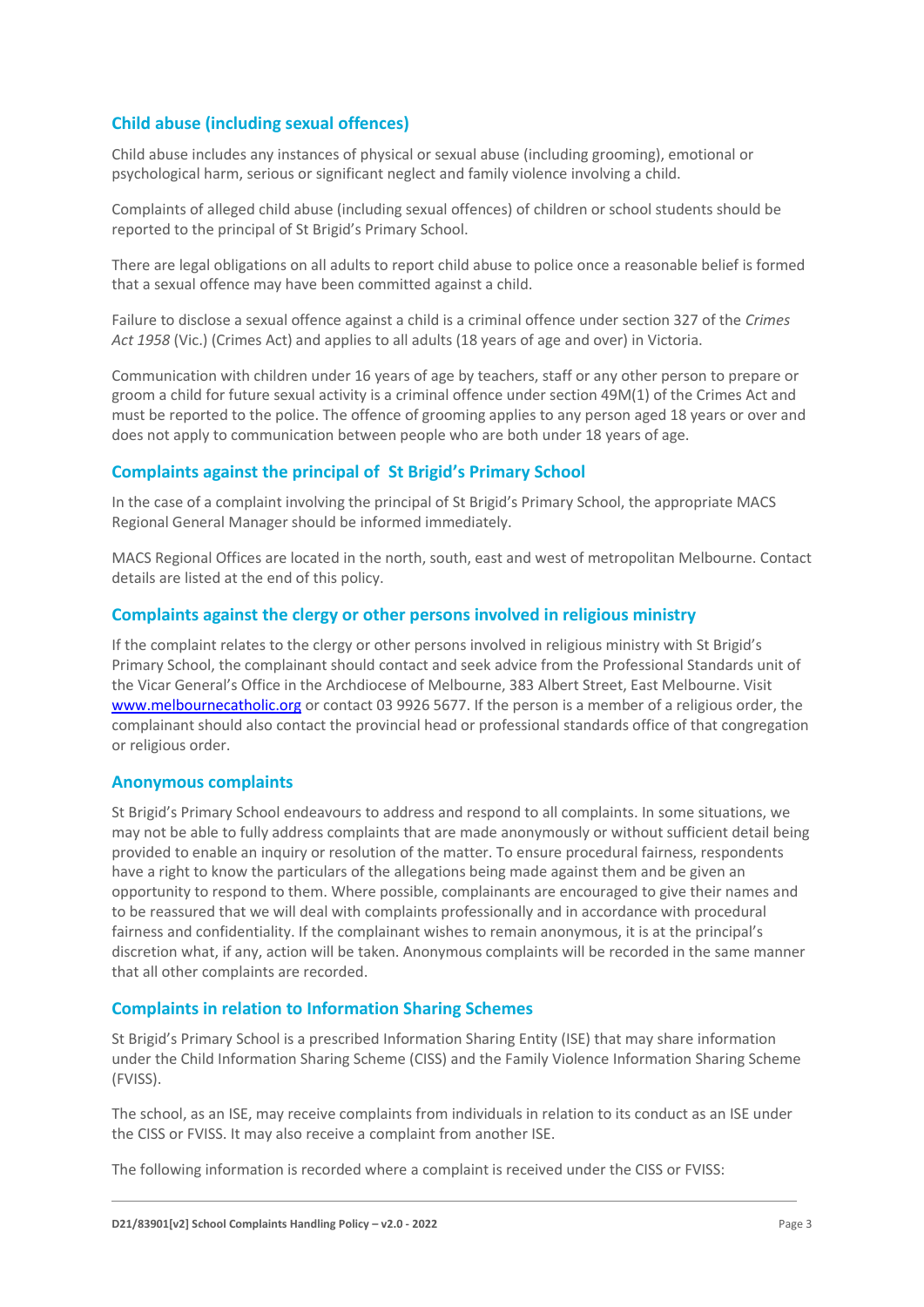#### **Child abuse (including sexual offences)**

Child abuse includes any instances of physical or sexual abuse (including grooming), emotional or psychological harm, serious or significant neglect and family violence involving a child.

Complaints of alleged child abuse (including sexual offences) of children or school students should be reported to the principal of St Brigid's Primary School.

There are legal obligations on all adults to report child abuse to police once a reasonable belief is formed that a sexual offence may have been committed against a child.

Failure to disclose a sexual offence against a child is a criminal offence under section 327 of the *Crimes Act 1958* (Vic.) (Crimes Act) and applies to all adults (18 years of age and over) in Victoria.

Communication with children under 16 years of age by teachers, staff or any other person to prepare or groom a child for future sexual activity is a criminal offence under section 49M(1) of the Crimes Act and must be reported to the police. The offence of grooming applies to any person aged 18 years or over and does not apply to communication between people who are both under 18 years of age.

#### **Complaints against the principal of St Brigid's Primary School**

In the case of a complaint involving the principal of St Brigid's Primary School, the appropriate MACS Regional General Manager should be informed immediately.

MACS Regional Offices are located in the north, south, east and west of metropolitan Melbourne. Contact details are listed at the end of this policy.

#### **Complaints against the clergy or other persons involved in religious ministry**

If the complaint relates to the clergy or other persons involved in religious ministry with St Brigid's Primary School, the complainant should contact and seek advice from the Professional Standards unit of the Vicar General's Office in the Archdiocese of Melbourne, 383 Albert Street, East Melbourne. Visit [www.melbournecatholic.org](http://www.melbournecatholic.org/) or contact 03 9926 5677. If the person is a member of a religious order, the complainant should also contact the provincial head or professional standards office of that congregation or religious order.

#### **Anonymous complaints**

St Brigid's Primary School endeavours to address and respond to all complaints. In some situations, we may not be able to fully address complaints that are made anonymously or without sufficient detail being provided to enable an inquiry or resolution of the matter. To ensure procedural fairness, respondents have a right to know the particulars of the allegations being made against them and be given an opportunity to respond to them. Where possible, complainants are encouraged to give their names and to be reassured that we will deal with complaints professionally and in accordance with procedural fairness and confidentiality. If the complainant wishes to remain anonymous, it is at the principal's discretion what, if any, action will be taken. Anonymous complaints will be recorded in the same manner that all other complaints are recorded.

#### **Complaints in relation to Information Sharing Schemes**

St Brigid's Primary School is a prescribed Information Sharing Entity (ISE) that may share information under the Child Information Sharing Scheme (CISS) and the Family Violence Information Sharing Scheme (FVISS).

The school, as an ISE, may receive complaints from individuals in relation to its conduct as an ISE under the CISS or FVISS. It may also receive a complaint from another ISE.

The following information is recorded where a complaint is received under the CISS or FVISS: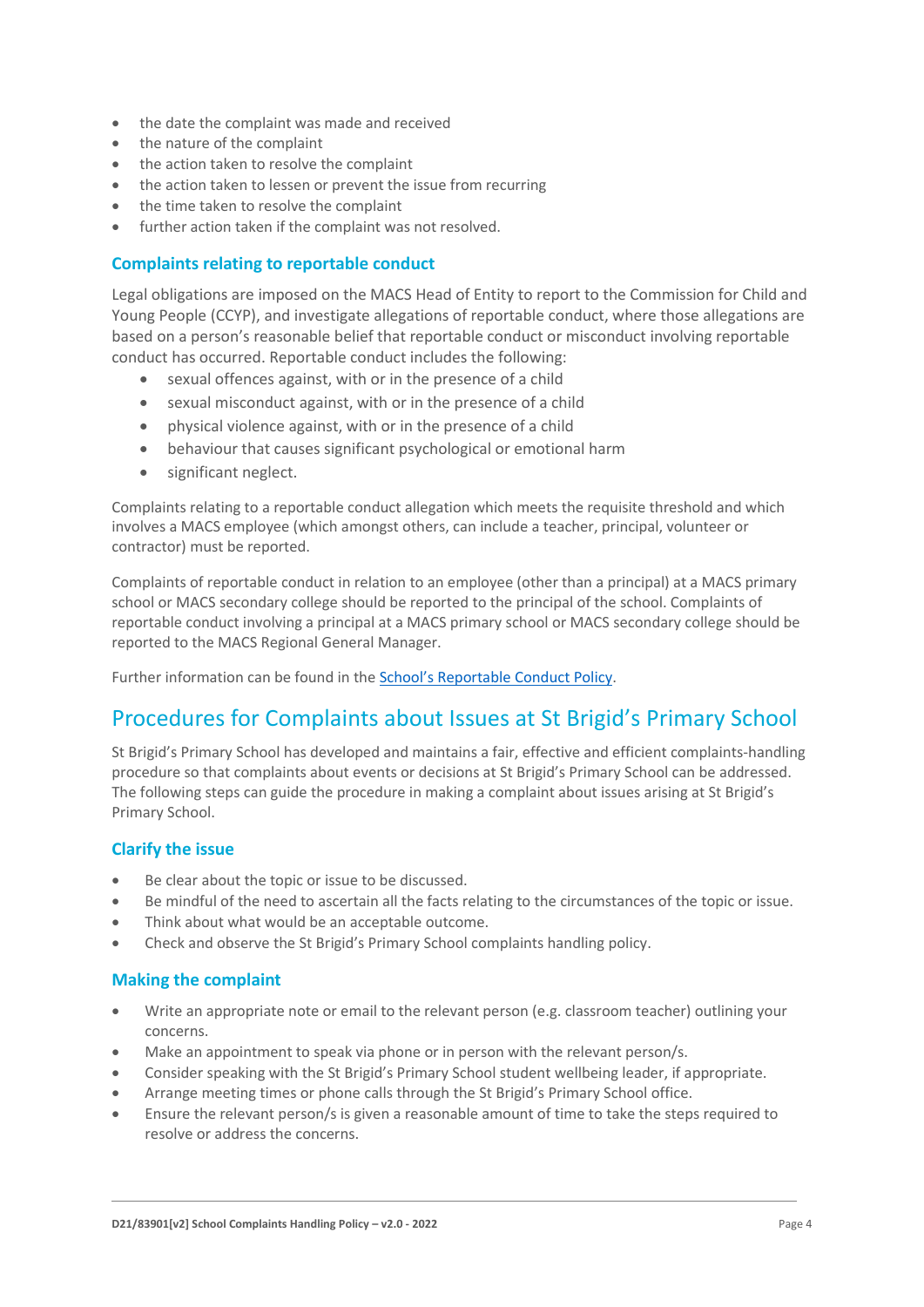- the date the complaint was made and received
- the nature of the complaint
- the action taken to resolve the complaint
- the action taken to lessen or prevent the issue from recurring
- the time taken to resolve the complaint
- further action taken if the complaint was not resolved.

#### **Complaints relating to reportable conduct**

Legal obligations are imposed on the MACS Head of Entity to report to the Commission for Child and Young People (CCYP), and investigate allegations of reportable conduct, where those allegations are based on a person's reasonable belief that reportable conduct or misconduct involving reportable conduct has occurred. Reportable conduct includes the following:

- sexual offences against, with or in the presence of a child
- sexual misconduct against, with or in the presence of a child
- physical violence against, with or in the presence of a child
- behaviour that causes significant psychological or emotional harm
- significant neglect.

Complaints relating to a reportable conduct allegation which meets the requisite threshold and which involves a MACS employee (which amongst others, can include a teacher, principal, volunteer or contractor) must be reported.

Complaints of reportable conduct in relation to an employee (other than a principal) at a MACS primary school or MACS secondary college should be reported to the principal of the school. Complaints of reportable conduct involving a principal at a MACS primary school or MACS secondary college should be reported to the MACS Regional General Manager.

Further information can be found in the [School's Reportable Conduct Policy](https://drive.google.com/file/d/1pctTT9m0Zdv_uS4v0LAJiMmQoYFJqpo1/view?usp=sharing).

# Procedures for Complaints about Issues at St Brigid's Primary School

St Brigid's Primary School has developed and maintains a fair, effective and efficient complaints-handling procedure so that complaints about events or decisions at St Brigid's Primary School can be addressed. The following steps can guide the procedure in making a complaint about issues arising at St Brigid's Primary School.

#### **Clarify the issue**

- Be clear about the topic or issue to be discussed.
- Be mindful of the need to ascertain all the facts relating to the circumstances of the topic or issue.
- Think about what would be an acceptable outcome.
- Check and observe the St Brigid's Primary School complaints handling policy.

#### **Making the complaint**

- Write an appropriate note or email to the relevant person (e.g. classroom teacher) outlining your concerns.
- Make an appointment to speak via phone or in person with the relevant person/s.
- Consider speaking with the St Brigid's Primary School student wellbeing leader, if appropriate.
- Arrange meeting times or phone calls through the St Brigid's Primary School office.
- Ensure the relevant person/s is given a reasonable amount of time to take the steps required to resolve or address the concerns.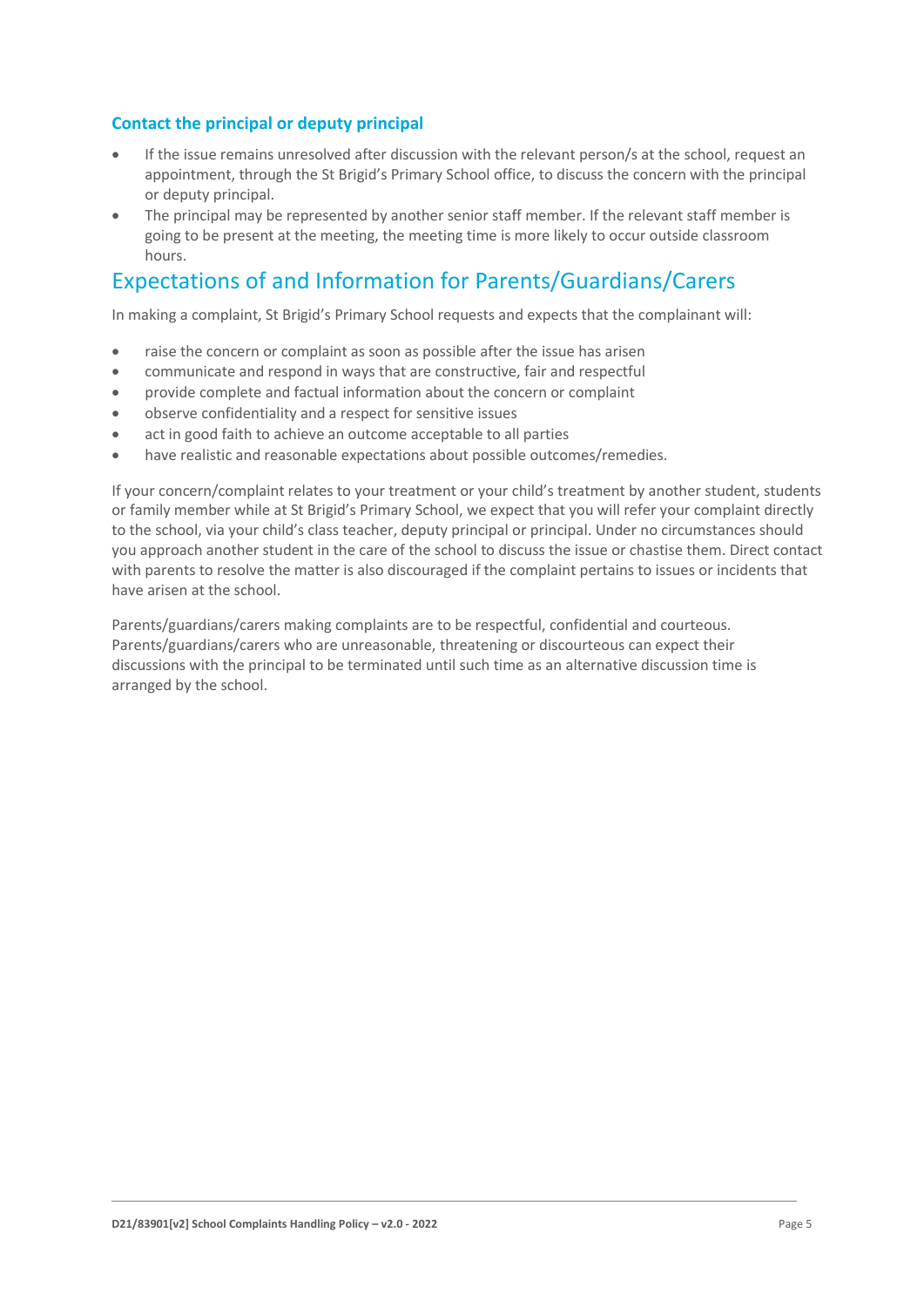#### **Contact the principal or deputy principal**

- If the issue remains unresolved after discussion with the relevant person/s at the school, request an appointment, through the St Brigid's Primary School office, to discuss the concern with the principal or deputy principal.
- The principal may be represented by another senior staff member. If the relevant staff member is going to be present at the meeting, the meeting time is more likely to occur outside classroom hours.

### Expectations of and Information for Parents/Guardians/Carers

In making a complaint, St Brigid's Primary School requests and expects that the complainant will:

- raise the concern or complaint as soon as possible after the issue has arisen
- communicate and respond in ways that are constructive, fair and respectful
- provide complete and factual information about the concern or complaint
- observe confidentiality and a respect for sensitive issues
- act in good faith to achieve an outcome acceptable to all parties
- have realistic and reasonable expectations about possible outcomes/remedies.

If your concern/complaint relates to your treatment or your child's treatment by another student, students or family member while at St Brigid's Primary School, we expect that you will refer your complaint directly to the school, via your child's class teacher, deputy principal or principal. Under no circumstances should you approach another student in the care of the school to discuss the issue or chastise them. Direct contact with parents to resolve the matter is also discouraged if the complaint pertains to issues or incidents that have arisen at the school.

Parents/guardians/carers making complaints are to be respectful, confidential and courteous. Parents/guardians/carers who are unreasonable, threatening or discourteous can expect their discussions with the principal to be terminated until such time as an alternative discussion time is arranged by the school.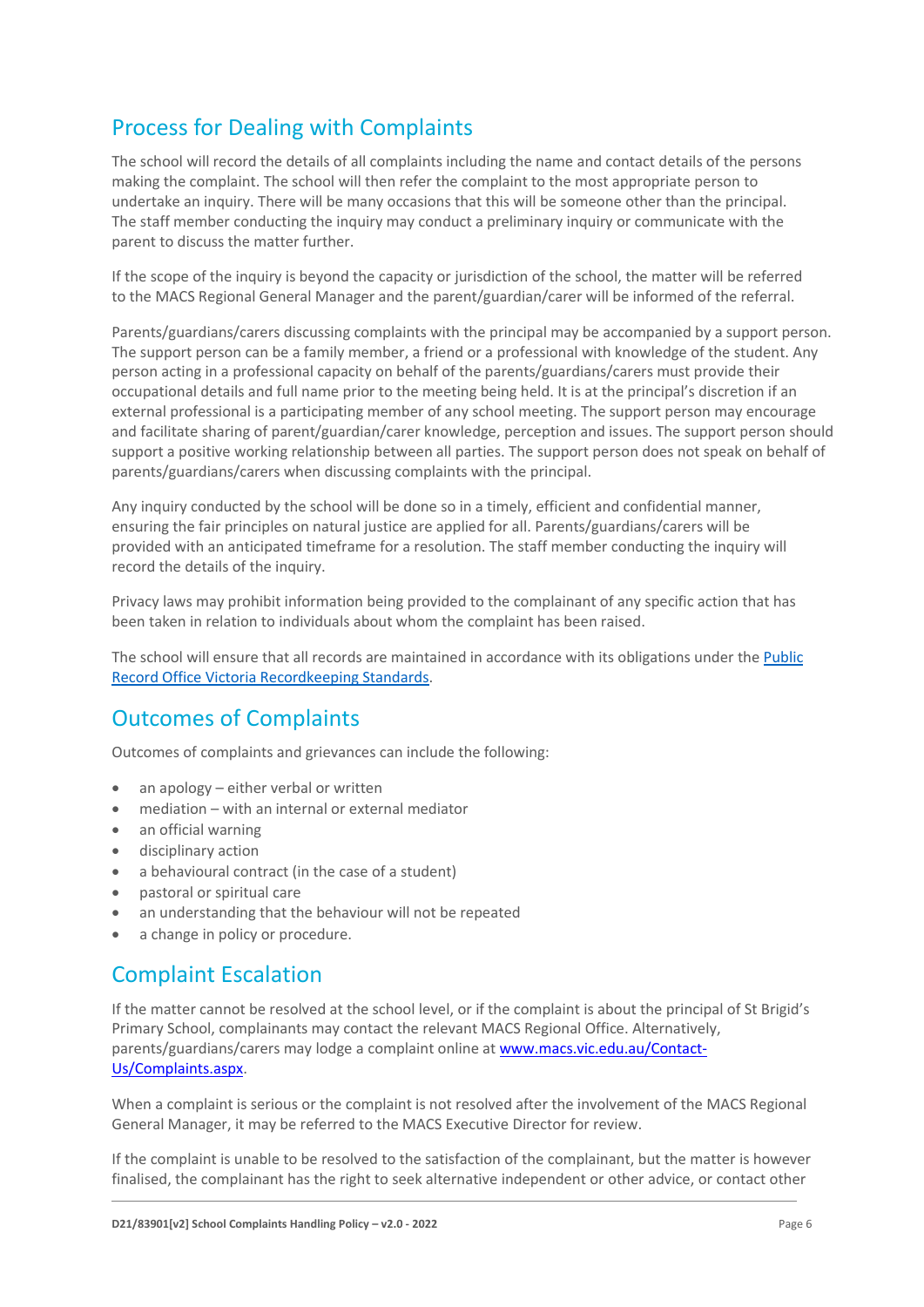# Process for Dealing with Complaints

The school will record the details of all complaints including the name and contact details of the persons making the complaint. The school will then refer the complaint to the most appropriate person to undertake an inquiry. There will be many occasions that this will be someone other than the principal. The staff member conducting the inquiry may conduct a preliminary inquiry or communicate with the parent to discuss the matter further.

If the scope of the inquiry is beyond the capacity or jurisdiction of the school, the matter will be referred to the MACS Regional General Manager and the parent/guardian/carer will be informed of the referral.

Parents/guardians/carers discussing complaints with the principal may be accompanied by a support person. The support person can be a family member, a friend or a professional with knowledge of the student. Any person acting in a professional capacity on behalf of the parents/guardians/carers must provide their occupational details and full name prior to the meeting being held. It is at the principal's discretion if an external professional is a participating member of any school meeting. The support person may encourage and facilitate sharing of parent/guardian/carer knowledge, perception and issues. The support person should support a positive working relationship between all parties. The support person does not speak on behalf of parents/guardians/carers when discussing complaints with the principal.

Any inquiry conducted by the school will be done so in a timely, efficient and confidential manner, ensuring the fair principles on natural justice are applied for all. Parents/guardians/carers will be provided with an anticipated timeframe for a resolution. The staff member conducting the inquiry will record the details of the inquiry.

Privacy laws may prohibit information being provided to the complainant of any specific action that has been taken in relation to individuals about whom the complaint has been raised.

The school will ensure that all records are maintained in accordance with its obligations under the [Public](https://prov.vic.gov.au/recordkeeping-government/standards-framework)  [Record Office Victoria Recordkeeping Standards.](https://prov.vic.gov.au/recordkeeping-government/standards-framework)

### Outcomes of Complaints

Outcomes of complaints and grievances can include the following:

- an apology either verbal or written
- mediation with an internal or external mediator
- an official warning
- disciplinary action
- a behavioural contract (in the case of a student)
- pastoral or spiritual care
- an understanding that the behaviour will not be repeated
- a change in policy or procedure.

### Complaint Escalation

If the matter cannot be resolved at the school level, or if the complaint is about the principal of St Brigid's Primary School, complainants may contact the relevant MACS Regional Office. Alternatively, parents/guardians/carers may lodge a complaint online at [www.macs.vic.edu.au/Contact-](http://www.macs.vic.edu.au/Contact-Us/Complaints.aspx)[Us/Complaints.aspx.](http://www.macs.vic.edu.au/Contact-Us/Complaints.aspx)

When a complaint is serious or the complaint is not resolved after the involvement of the MACS Regional General Manager, it may be referred to the MACS Executive Director for review.

If the complaint is unable to be resolved to the satisfaction of the complainant, but the matter is however finalised, the complainant has the right to seek alternative independent or other advice, or contact other